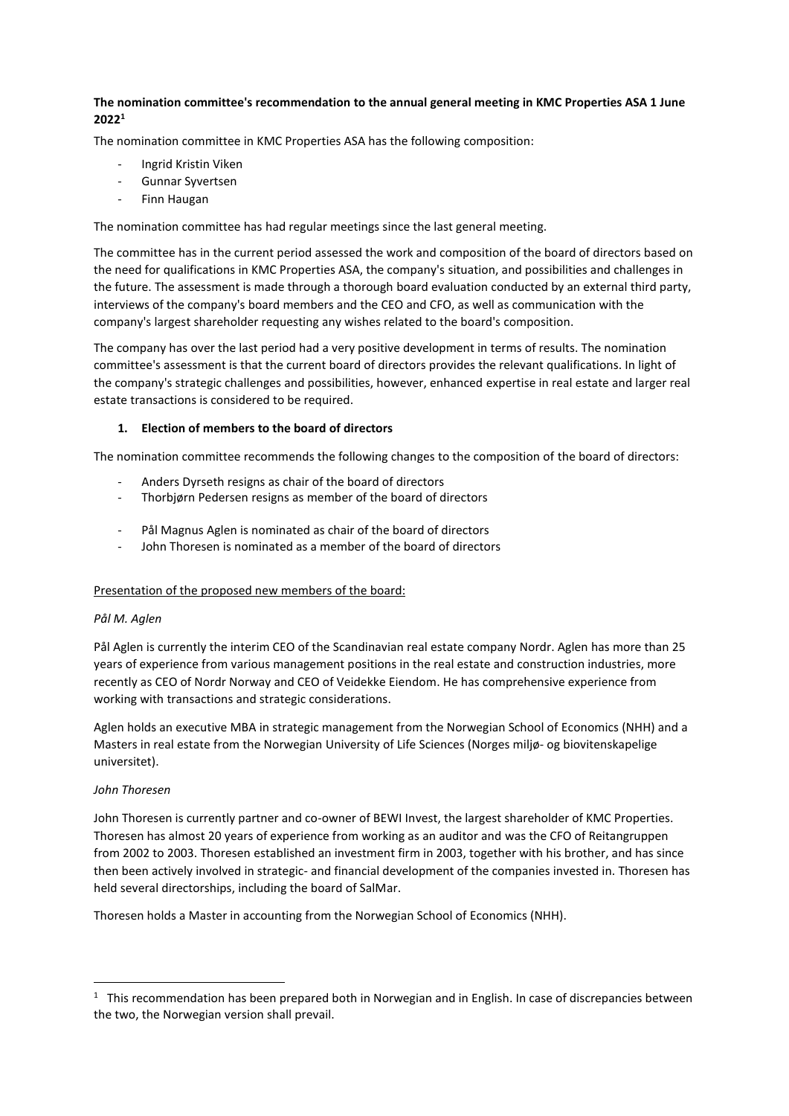# **The nomination committee's recommendation to the annual general meeting in KMC Properties ASA 1 June 2022<sup>1</sup>**

The nomination committee in KMC Properties ASA has the following composition:

- Ingrid Kristin Viken
- Gunnar Syvertsen
- Finn Haugan

The nomination committee has had regular meetings since the last general meeting.

The committee has in the current period assessed the work and composition of the board of directors based on the need for qualifications in KMC Properties ASA, the company's situation, and possibilities and challenges in the future. The assessment is made through a thorough board evaluation conducted by an external third party, interviews of the company's board members and the CEO and CFO, as well as communication with the company's largest shareholder requesting any wishes related to the board's composition.

The company has over the last period had a very positive development in terms of results. The nomination committee's assessment is that the current board of directors provides the relevant qualifications. In light of the company's strategic challenges and possibilities, however, enhanced expertise in real estate and larger real estate transactions is considered to be required.

## **1. Election of members to the board of directors**

The nomination committee recommends the following changes to the composition of the board of directors:

- Anders Dyrseth resigns as chair of the board of directors
- Thorbjørn Pedersen resigns as member of the board of directors
- Pål Magnus Aglen is nominated as chair of the board of directors
- John Thoresen is nominated as a member of the board of directors

## Presentation of the proposed new members of the board:

## *Pål M. Aglen*

Pål Aglen is currently the interim CEO of the Scandinavian real estate company Nordr. Aglen has more than 25 years of experience from various management positions in the real estate and construction industries, more recently as CEO of Nordr Norway and CEO of Veidekke Eiendom. He has comprehensive experience from working with transactions and strategic considerations.

Aglen holds an executive MBA in strategic management from the Norwegian School of Economics (NHH) and a Masters in real estate from the Norwegian University of Life Sciences (Norges miljø- og biovitenskapelige universitet).

## *John Thoresen*

John Thoresen is currently partner and co-owner of BEWI Invest, the largest shareholder of KMC Properties. Thoresen has almost 20 years of experience from working as an auditor and was the CFO of Reitangruppen from 2002 to 2003. Thoresen established an investment firm in 2003, together with his brother, and has since then been actively involved in strategic- and financial development of the companies invested in. Thoresen has held several directorships, including the board of SalMar.

Thoresen holds a Master in accounting from the Norwegian School of Economics (NHH).

 $1$  This recommendation has been prepared both in Norwegian and in English. In case of discrepancies between the two, the Norwegian version shall prevail.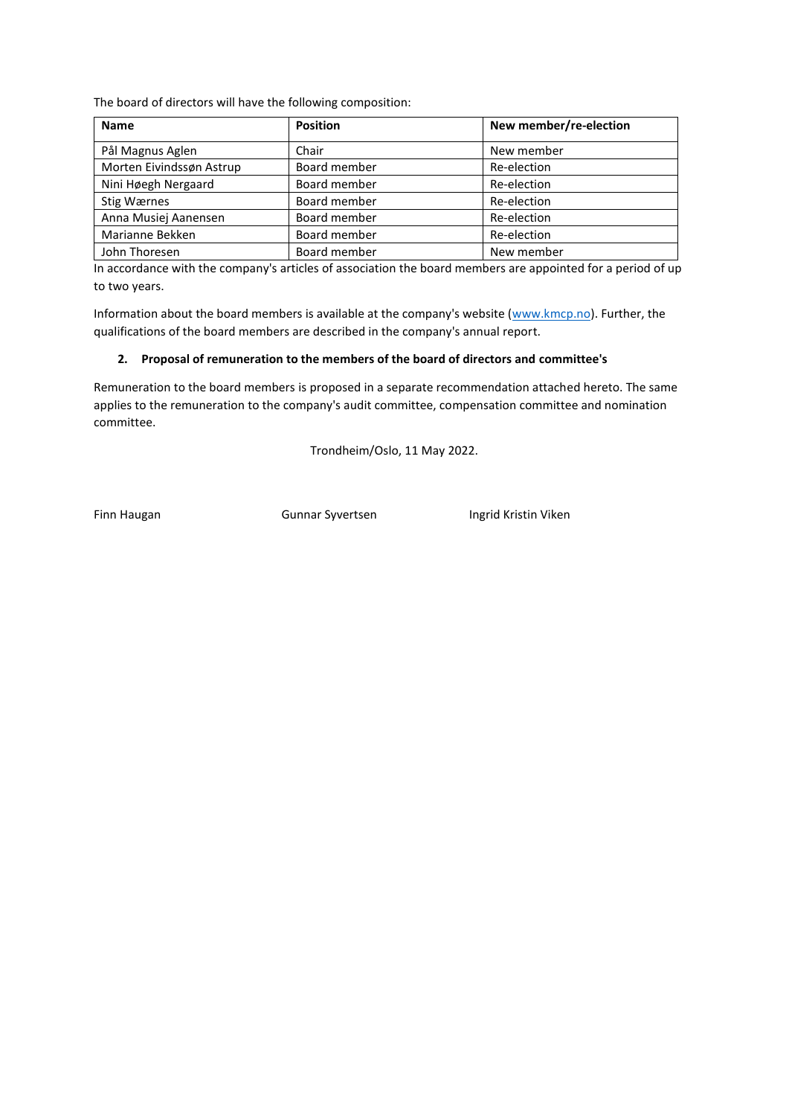The board of directors will have the following composition:

| <b>Name</b>              | <b>Position</b> | New member/re-election |
|--------------------------|-----------------|------------------------|
| Pål Magnus Aglen         | Chair           | New member             |
| Morten Eivindssøn Astrup | Board member    | Re-election            |
| Nini Høegh Nergaard      | Board member    | Re-election            |
| Stig Wærnes              | Board member    | Re-election            |
| Anna Musiej Aanensen     | Board member    | Re-election            |
| Marianne Bekken          | Board member    | Re-election            |
| John Thoresen            | Board member    | New member             |

In accordance with the company's articles of association the board members are appointed for a period of up to two years.

Information about the board members is available at the company's website [\(www.kmcp.no\)](http://www.kmcp.no/). Further, the qualifications of the board members are described in the company's annual report.

#### **2. Proposal of remuneration to the members of the board of directors and committee's**

Remuneration to the board members is proposed in a separate recommendation attached hereto. The same applies to the remuneration to the company's audit committee, compensation committee and nomination committee.

Trondheim/Oslo, 11 May 2022.

Finn Haugan **Gunnar Syvertsen** Ingrid Kristin Viken